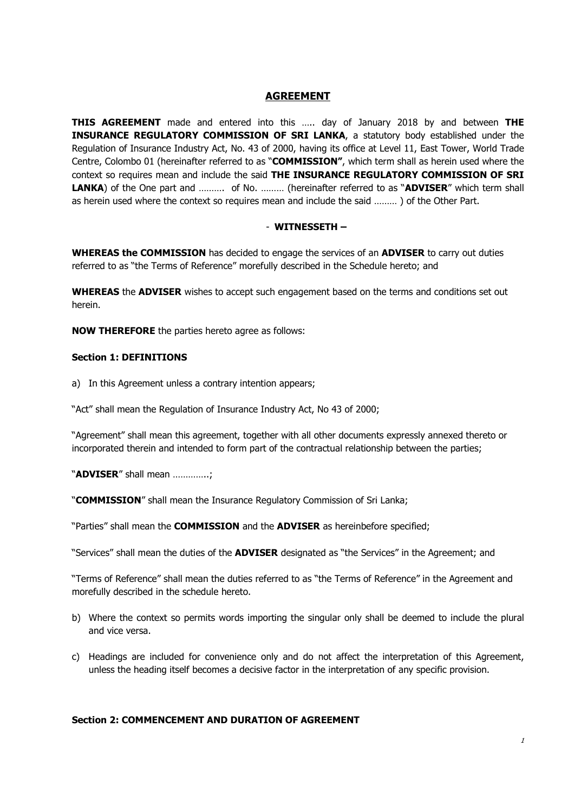## **AGREEMENT**

**THIS AGREEMENT** made and entered into this ….. day of January 2018 by and between **THE INSURANCE REGULATORY COMMISSION OF SRI LANKA**, a statutory body established under the Regulation of Insurance Industry Act, No. 43 of 2000, having its office at Level 11, East Tower, World Trade Centre, Colombo 01 (hereinafter referred to as "**COMMISSION"**, which term shall as herein used where the context so requires mean and include the said **THE INSURANCE REGULATORY COMMISSION OF SRI LANKA**) of the One part and ………. of No. ……… (hereinafter referred to as "**ADVISER**" which term shall as herein used where the context so requires mean and include the said ……… ) of the Other Part.

#### - **WITNESSETH –**

**WHEREAS the COMMISSION** has decided to engage the services of an **ADVISER** to carry out duties referred to as "the Terms of Reference" morefully described in the Schedule hereto; and

**WHEREAS** the **ADVISER** wishes to accept such engagement based on the terms and conditions set out herein.

**NOW THEREFORE** the parties hereto agree as follows:

#### **Section 1: DEFINITIONS**

a) In this Agreement unless a contrary intention appears;

"Act" shall mean the Regulation of Insurance Industry Act, No 43 of 2000;

"Agreement" shall mean this agreement, together with all other documents expressly annexed thereto or incorporated therein and intended to form part of the contractual relationship between the parties;

"**ADVISER**" shall mean …………..;

"**COMMISSION**" shall mean the Insurance Regulatory Commission of Sri Lanka;

"Parties" shall mean the **COMMISSION** and the **ADVISER** as hereinbefore specified;

"Services" shall mean the duties of the **ADVISER** designated as "the Services" in the Agreement; and

"Terms of Reference" shall mean the duties referred to as "the Terms of Reference" in the Agreement and morefully described in the schedule hereto.

- b) Where the context so permits words importing the singular only shall be deemed to include the plural and vice versa.
- c) Headings are included for convenience only and do not affect the interpretation of this Agreement, unless the heading itself becomes a decisive factor in the interpretation of any specific provision.

## **Section 2: COMMENCEMENT AND DURATION OF AGREEMENT**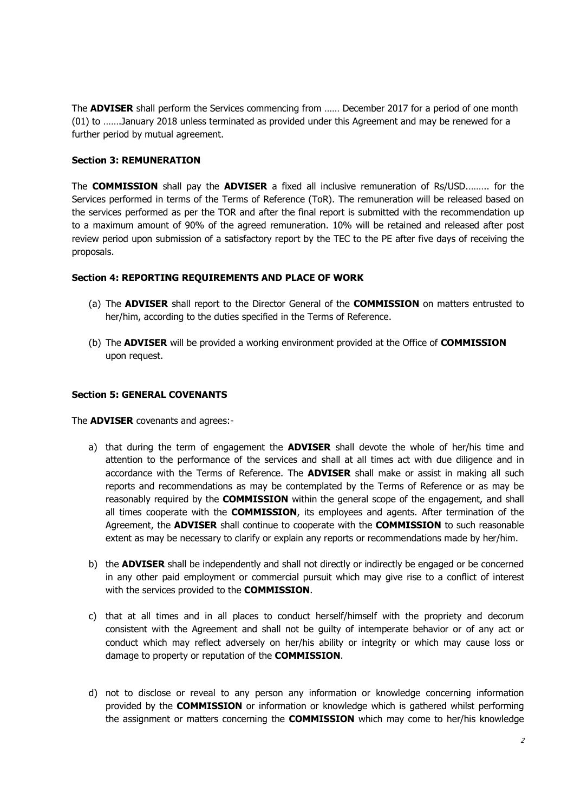The **ADVISER** shall perform the Services commencing from …… December 2017 for a period of one month (01) to …….January 2018 unless terminated as provided under this Agreement and may be renewed for a further period by mutual agreement.

## **Section 3: REMUNERATION**

The **COMMISSION** shall pay the **ADVISER** a fixed all inclusive remuneration of Rs/USD.…….. for the Services performed in terms of the Terms of Reference (ToR). The remuneration will be released based on the services performed as per the TOR and after the final report is submitted with the recommendation up to a maximum amount of 90% of the agreed remuneration. 10% will be retained and released after post review period upon submission of a satisfactory report by the TEC to the PE after five days of receiving the proposals.

## **Section 4: REPORTING REQUIREMENTS AND PLACE OF WORK**

- (a) The **ADVISER** shall report to the Director General of the **COMMISSION** on matters entrusted to her/him, according to the duties specified in the Terms of Reference.
- (b) The **ADVISER** will be provided a working environment provided at the Office of **COMMISSION** upon request.

## **Section 5: GENERAL COVENANTS**

The **ADVISER** covenants and agrees:-

- a) that during the term of engagement the **ADVISER** shall devote the whole of her/his time and attention to the performance of the services and shall at all times act with due diligence and in accordance with the Terms of Reference. The **ADVISER** shall make or assist in making all such reports and recommendations as may be contemplated by the Terms of Reference or as may be reasonably required by the **COMMISSION** within the general scope of the engagement, and shall all times cooperate with the **COMMISSION**, its employees and agents. After termination of the Agreement, the **ADVISER** shall continue to cooperate with the **COMMISSION** to such reasonable extent as may be necessary to clarify or explain any reports or recommendations made by her/him.
- b) the **ADVISER** shall be independently and shall not directly or indirectly be engaged or be concerned in any other paid employment or commercial pursuit which may give rise to a conflict of interest with the services provided to the **COMMISSION**.
- c) that at all times and in all places to conduct herself/himself with the propriety and decorum consistent with the Agreement and shall not be guilty of intemperate behavior or of any act or conduct which may reflect adversely on her/his ability or integrity or which may cause loss or damage to property or reputation of the **COMMISSION**.
- d) not to disclose or reveal to any person any information or knowledge concerning information provided by the **COMMISSION** or information or knowledge which is gathered whilst performing the assignment or matters concerning the **COMMISSION** which may come to her/his knowledge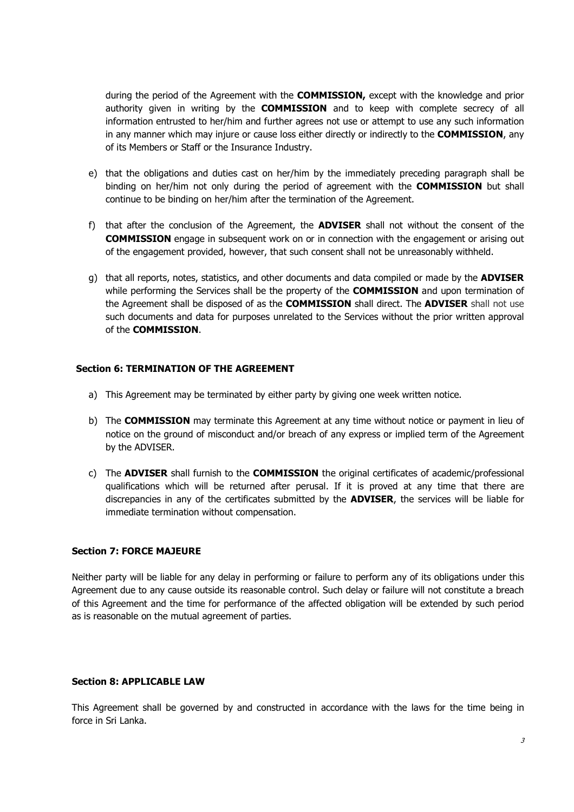during the period of the Agreement with the **COMMISSION,** except with the knowledge and prior authority given in writing by the **COMMISSION** and to keep with complete secrecy of all information entrusted to her/him and further agrees not use or attempt to use any such information in any manner which may injure or cause loss either directly or indirectly to the **COMMISSION**, any of its Members or Staff or the Insurance Industry.

- e) that the obligations and duties cast on her/him by the immediately preceding paragraph shall be binding on her/him not only during the period of agreement with the **COMMISSION** but shall continue to be binding on her/him after the termination of the Agreement.
- f) that after the conclusion of the Agreement, the **ADVISER** shall not without the consent of the **COMMISSION** engage in subsequent work on or in connection with the engagement or arising out of the engagement provided, however, that such consent shall not be unreasonably withheld.
- g) that all reports, notes, statistics, and other documents and data compiled or made by the **ADVISER** while performing the Services shall be the property of the **COMMISSION** and upon termination of the Agreement shall be disposed of as the **COMMISSION** shall direct. The **ADVISER** shall not use such documents and data for purposes unrelated to the Services without the prior written approval of the **COMMISSION**.

## **Section 6: TERMINATION OF THE AGREEMENT**

- a) This Agreement may be terminated by either party by giving one week written notice.
- b) The **COMMISSION** may terminate this Agreement at any time without notice or payment in lieu of notice on the ground of misconduct and/or breach of any express or implied term of the Agreement by the ADVISER.
- c) The **ADVISER** shall furnish to the **COMMISSION** the original certificates of academic/professional qualifications which will be returned after perusal. If it is proved at any time that there are discrepancies in any of the certificates submitted by the **ADVISER**, the services will be liable for immediate termination without compensation.

## **Section 7: FORCE MAJEURE**

Neither party will be liable for any delay in performing or failure to perform any of its obligations under this Agreement due to any cause outside its reasonable control. Such delay or failure will not constitute a breach of this Agreement and the time for performance of the affected obligation will be extended by such period as is reasonable on the mutual agreement of parties.

## **Section 8: APPLICABLE LAW**

This Agreement shall be governed by and constructed in accordance with the laws for the time being in force in Sri Lanka.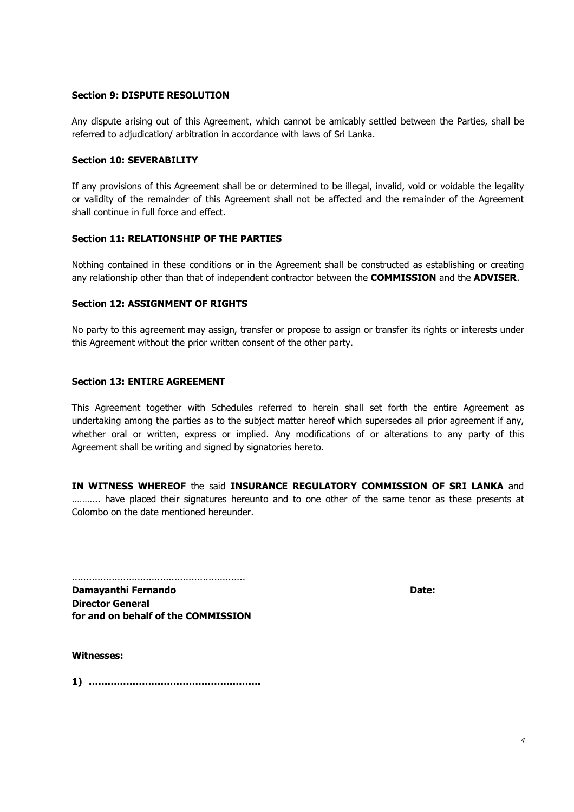## **Section 9: DISPUTE RESOLUTION**

Any dispute arising out of this Agreement, which cannot be amicably settled between the Parties, shall be referred to adjudication/ arbitration in accordance with laws of Sri Lanka.

#### **Section 10: SEVERABILITY**

If any provisions of this Agreement shall be or determined to be illegal, invalid, void or voidable the legality or validity of the remainder of this Agreement shall not be affected and the remainder of the Agreement shall continue in full force and effect.

#### **Section 11: RELATIONSHIP OF THE PARTIES**

Nothing contained in these conditions or in the Agreement shall be constructed as establishing or creating any relationship other than that of independent contractor between the **COMMISSION** and the **ADVISER**.

#### **Section 12: ASSIGNMENT OF RIGHTS**

No party to this agreement may assign, transfer or propose to assign or transfer its rights or interests under this Agreement without the prior written consent of the other party.

#### **Section 13: ENTIRE AGREEMENT**

This Agreement together with Schedules referred to herein shall set forth the entire Agreement as undertaking among the parties as to the subject matter hereof which supersedes all prior agreement if any, whether oral or written, express or implied. Any modifications of or alterations to any party of this Agreement shall be writing and signed by signatories hereto.

**IN WITNESS WHEREOF** the said **INSURANCE REGULATORY COMMISSION OF SRI LANKA** and ............ have placed their signatures hereunto and to one other of the same tenor as these presents at Colombo on the date mentioned hereunder.

............................................................. **Damayanthi Fernando Date: Damayanthi Fernando Date: Date: Date: Date: Date: Director General for and on behalf of the COMMISSION** 

**Witnesses:** 

**1) ……………………………………………….**